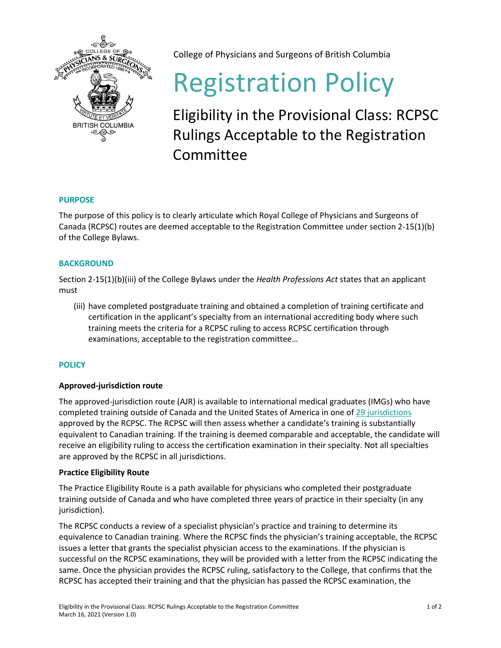

College of Physicians and Surgeons of British Columbia

# Registration Policy

Eligibility in the Provisional Class: RCPSC Rulings Acceptable to the Registration Committee

## **PURPOSE**

The purpose of this policy is to clearly articulate which Royal College of Physicians and Surgeons of Canada (RCPSC) routes are deemed acceptable to the Registration Committee under section 2-15(1)(b) of the College Bylaws.

## **BACKGROUND**

Section 2-15(1)(b)(iii) of the College Bylaws under the *Health Professions Act* states that an applicant must

(iii) have completed postgraduate training and obtained a completion of training certificate and certification in the applicant's specialty from an international accrediting body where such training meets the criteria for a RCPSC ruling to access RCPSC certification through examinations, acceptable to the registration committee…

## **POLICY**

## **Approved-jurisdiction route**

The approved-jurisdiction route (AJR) is available to international medical graduates (IMGs) who have completed training outside of Canada and the United States of America in one of [29 jurisdictions](http://www.royalcollege.ca/rcsite/credentials-exams/exam-eligibility/assessment-imgs/jurisdiction/accepted-jurisdictions-e) approved by the RCPSC. The RCPSC will then assess whether a candidate's training is substantially equivalent to Canadian training. If the training is deemed comparable and acceptable, the candidate will receive an eligibility ruling to access the certification examination in their specialty. Not all specialties are approved by the RCPSC in all jurisdictions.

#### **Practice Eligibility Route**

The Practice Eligibility Route is a path available for physicians who completed their postgraduate training outside of Canada and who have completed three years of practice in their specialty (in any jurisdiction).

The RCPSC conducts a review of a specialist physician's practice and training to determine its equivalence to Canadian training. Where the RCPSC finds the physician's training acceptable, the RCPSC issues a letter that grants the specialist physician access to the examinations. If the physician is successful on the RCPSC examinations, they will be provided with a letter from the RCPSC indicating the same. Once the physician provides the RCPSC ruling, satisfactory to the College, that confirms that the RCPSC has accepted their training and that the physician has passed the RCPSC examination, the